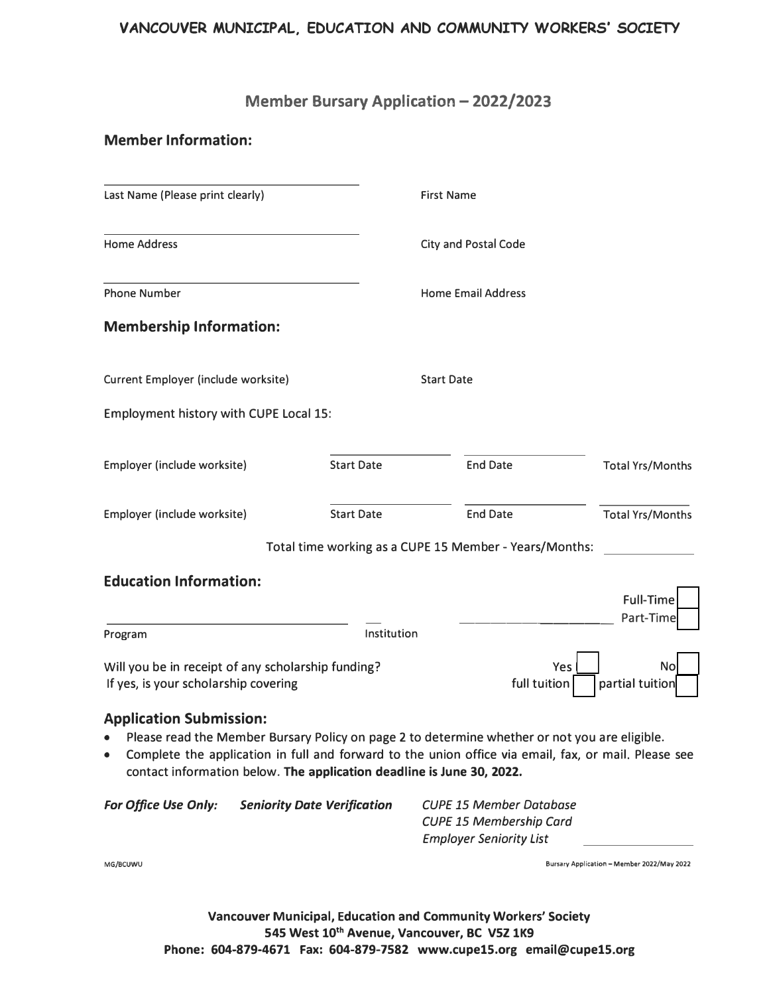# **VANCOUVER MUNICIPAL, EDUCATION AND COMMUNITY WORKERS' SOCIETY**

# **Member Bursary Application - 2022/2023**

# **Member Information:**

| Last Name (Please print clearly)                                                           |                      | <b>First Name</b>                                      |                               |
|--------------------------------------------------------------------------------------------|----------------------|--------------------------------------------------------|-------------------------------|
| <b>Home Address</b>                                                                        | City and Postal Code |                                                        |                               |
| <b>Phone Number</b>                                                                        |                      | <b>Home Email Address</b>                              |                               |
| <b>Membership Information:</b>                                                             |                      |                                                        |                               |
| Current Employer (include worksite)                                                        |                      | <b>Start Date</b>                                      |                               |
| Employment history with CUPE Local 15:                                                     |                      |                                                        |                               |
| Employer (include worksite)                                                                | <b>Start Date</b>    | <b>End Date</b>                                        | <b>Total Yrs/Months</b>       |
| Employer (include worksite)                                                                | <b>Start Date</b>    | <b>End Date</b>                                        | <b>Total Yrs/Months</b>       |
|                                                                                            |                      | Total time working as a CUPE 15 Member - Years/Months: |                               |
| <b>Education Information:</b>                                                              |                      |                                                        | <b>Full-Time</b><br>Part-Time |
| Program                                                                                    | Institution          |                                                        |                               |
| Will you be in receipt of any scholarship funding?<br>If yes, is your scholarship covering |                      | Yes<br>full tuition                                    | No<br>partial tuition         |

## **Application Submission:**

- Please read the Member Bursary Policy on page 2 to determine whether or not you are eligible.
- Complete the application in full and forward to the union office via email, fax, or mail. Please see contact information below. **The application deadline is June 30, 2022.**

| <b>For Office Use Only:</b> | <b>Seniority Date Verification</b> | <b>CUPE 15 Member Database</b> |
|-----------------------------|------------------------------------|--------------------------------|
|                             |                                    | <b>CUPE 15 Membership Card</b> |
|                             |                                    | <b>Employer Seniority List</b> |
|                             |                                    |                                |

**MG/BCUWU Bursary Application -Member 2022/May 2022** 

**Vancouver Municipal, Education and Community Workers' Society 545 West 10th Avenue, Vancouver, BC V5Z 1K9 Phone: 604-879-4671 Fax: 604-879-7582 www.cupelS.org email@cupelS.org**